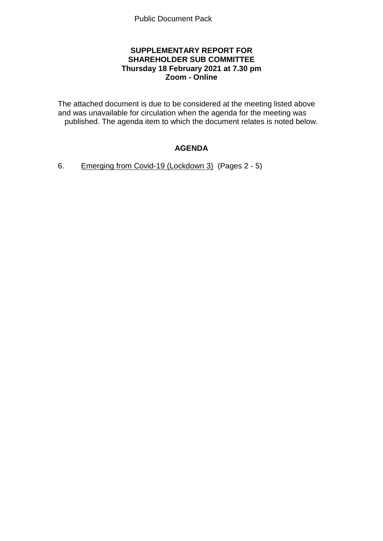## **SUPPLEMENTARY REPORT FOR SHAREHOLDER SUB COMMITTEE Thursday 18 February 2021 at 7.30 pm Zoom - Online**

The attached document is due to be considered at the meeting listed above and was unavailable for circulation when the agenda for the meeting was published. The agenda item to which the document relates is noted below.

# **AGENDA**

6. Emerging from Covid-19 (Lockdown 3) (Pages 2 - 5)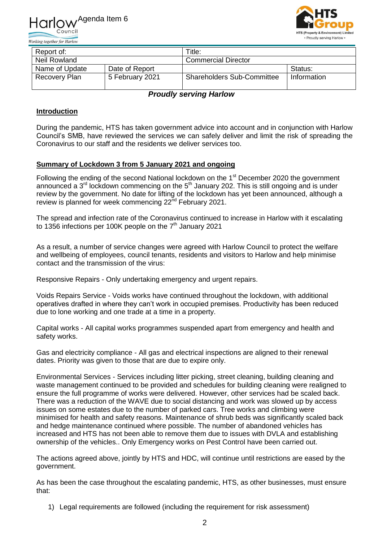



| Report of:     |                 | Title:                            |             |
|----------------|-----------------|-----------------------------------|-------------|
| Neil Rowland   |                 | <b>Commercial Director</b>        |             |
| Name of Update | Date of Report  |                                   | Status:     |
| Recovery Plan  | 5 February 2021 | <b>Shareholders Sub-Committee</b> | Information |

*Proudly serving Harlow*

## **Introduction**

During the pandemic, HTS has taken government advice into account and in conjunction with Harlow Council's SMB, have reviewed the services we can safely deliver and limit the risk of spreading the Coronavirus to our staff and the residents we deliver services too.

#### **Summary of Lockdown 3 from 5 January 2021 and ongoing**

Following the ending of the second National lockdown on the 1<sup>st</sup> December 2020 the government announced a  $3<sup>rd</sup>$  lockdown commencing on the  $5<sup>th</sup>$  January 202. This is still ongoing and is under review by the government. No date for lifting of the lockdown has yet been announced, although a review is planned for week commencing 22<sup>nd</sup> February 2021.

The spread and infection rate of the Coronavirus continued to increase in Harlow with it escalating to 1356 infections per 100K people on the  $7<sup>th</sup>$  January 2021

As a result, a number of service changes were agreed with Harlow Council to protect the welfare and wellbeing of employees, council tenants, residents and visitors to Harlow and help minimise contact and the transmission of the virus:

Responsive Repairs - Only undertaking emergency and urgent repairs.

Voids Repairs Service - Voids works have continued throughout the lockdown, with additional operatives drafted in where they can't work in occupied premises. Productivity has been reduced due to lone working and one trade at a time in a property.

Capital works - All capital works programmes suspended apart from emergency and health and safety works.

Gas and electricity compliance - All gas and electrical inspections are aligned to their renewal dates. Priority was given to those that are due to expire only.

Environmental Services - Services including litter picking, street cleaning, building cleaning and waste management continued to be provided and schedules for building cleaning were realigned to ensure the full programme of works were delivered. However, other services had be scaled back. There was a reduction of the WAVE due to social distancing and work was slowed up by access issues on some estates due to the number of parked cars. Tree works and climbing were minimised for health and safety reasons. Maintenance of shrub beds was significantly scaled back and hedge maintenance continued where possible. The number of abandoned vehicles has increased and HTS has not been able to remove them due to issues with DVLA and establishing ownership of the vehicles.. Only Emergency works on Pest Control have been carried out.

The actions agreed above, jointly by HTS and HDC, will continue until restrictions are eased by the government.

As has been the case throughout the escalating pandemic, HTS, as other businesses, must ensure that:

1) Legal requirements are followed (including the requirement for risk assessment)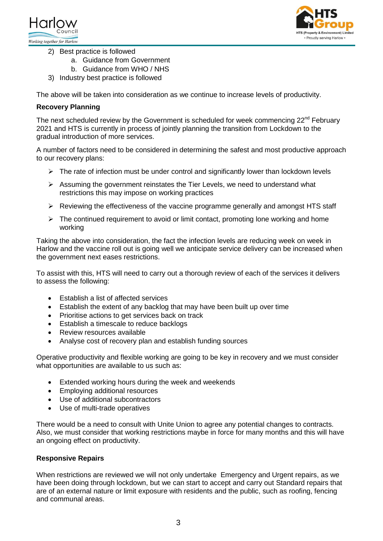



- 2) Best practice is followed
	- a. Guidance from Government
	- b. Guidance from WHO / NHS
- 3) Industry best practice is followed

The above will be taken into consideration as we continue to increase levels of productivity.

#### **Recovery Planning**

The next scheduled review by the Government is scheduled for week commencing  $22^{nd}$  February 2021 and HTS is currently in process of jointly planning the transition from Lockdown to the gradual introduction of more services.

A number of factors need to be considered in determining the safest and most productive approach to our recovery plans:

- $\triangleright$  The rate of infection must be under control and significantly lower than lockdown levels
- $\triangleright$  Assuming the government reinstates the Tier Levels, we need to understand what restrictions this may impose on working practices
- $\triangleright$  Reviewing the effectiveness of the vaccine programme generally and amongst HTS staff
- $\triangleright$  The continued requirement to avoid or limit contact, promoting lone working and home working

Taking the above into consideration, the fact the infection levels are reducing week on week in Harlow and the vaccine roll out is going well we anticipate service delivery can be increased when the government next eases restrictions.

To assist with this, HTS will need to carry out a thorough review of each of the services it delivers to assess the following:

- Establish a list of affected services
- Establish the extent of any backlog that may have been built up over time
- Prioritise actions to get services back on track
- Establish a timescale to reduce backlogs
- Review resources available
- Analyse cost of recovery plan and establish funding sources

Operative productivity and flexible working are going to be key in recovery and we must consider what opportunities are available to us such as:

- Extended working hours during the week and weekends
- Employing additional resources
- Use of additional subcontractors
- Use of multi-trade operatives

There would be a need to consult with Unite Union to agree any potential changes to contracts. Also, we must consider that working restrictions maybe in force for many months and this will have an ongoing effect on productivity.

### **Responsive Repairs**

When restrictions are reviewed we will not only undertake Emergency and Urgent repairs, as we have been doing through lockdown, but we can start to accept and carry out Standard repairs that are of an external nature or limit exposure with residents and the public, such as roofing, fencing and communal areas.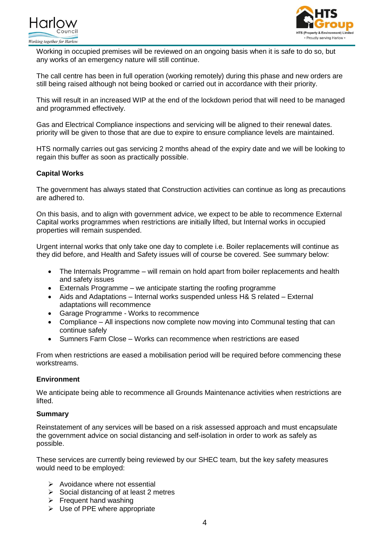



Working in occupied premises will be reviewed on an ongoing basis when it is safe to do so, but any works of an emergency nature will still continue.

The call centre has been in full operation (working remotely) during this phase and new orders are still being raised although not being booked or carried out in accordance with their priority.

This will result in an increased WIP at the end of the lockdown period that will need to be managed and programmed effectively.

Gas and Electrical Compliance inspections and servicing will be aligned to their renewal dates. priority will be given to those that are due to expire to ensure compliance levels are maintained.

HTS normally carries out gas servicing 2 months ahead of the expiry date and we will be looking to regain this buffer as soon as practically possible.

### **Capital Works**

The government has always stated that Construction activities can continue as long as precautions are adhered to.

On this basis, and to align with government advice, we expect to be able to recommence External Capital works programmes when restrictions are initially lifted, but Internal works in occupied properties will remain suspended.

Urgent internal works that only take one day to complete i.e. Boiler replacements will continue as they did before, and Health and Safety issues will of course be covered. See summary below:

- The Internals Programme will remain on hold apart from boiler replacements and health and safety issues
- Externals Programme we anticipate starting the roofing programme
- Aids and Adaptations Internal works suspended unless H& S related External adaptations will recommence
- Garage Programme Works to recommence
- Compliance All inspections now complete now moving into Communal testing that can continue safely
- Sumners Farm Close Works can recommence when restrictions are eased

From when restrictions are eased a mobilisation period will be required before commencing these workstreams.

### **Environment**

We anticipate being able to recommence all Grounds Maintenance activities when restrictions are lifted.

#### **Summary**

Reinstatement of any services will be based on a risk assessed approach and must encapsulate the government advice on social distancing and self-isolation in order to work as safely as possible.

These services are currently being reviewed by our SHEC team, but the key safety measures would need to be employed:

- $\triangleright$  Avoidance where not essential
- $\triangleright$  Social distancing of at least 2 metres
- $\triangleright$  Frequent hand washing
- $\triangleright$  Use of PPE where appropriate